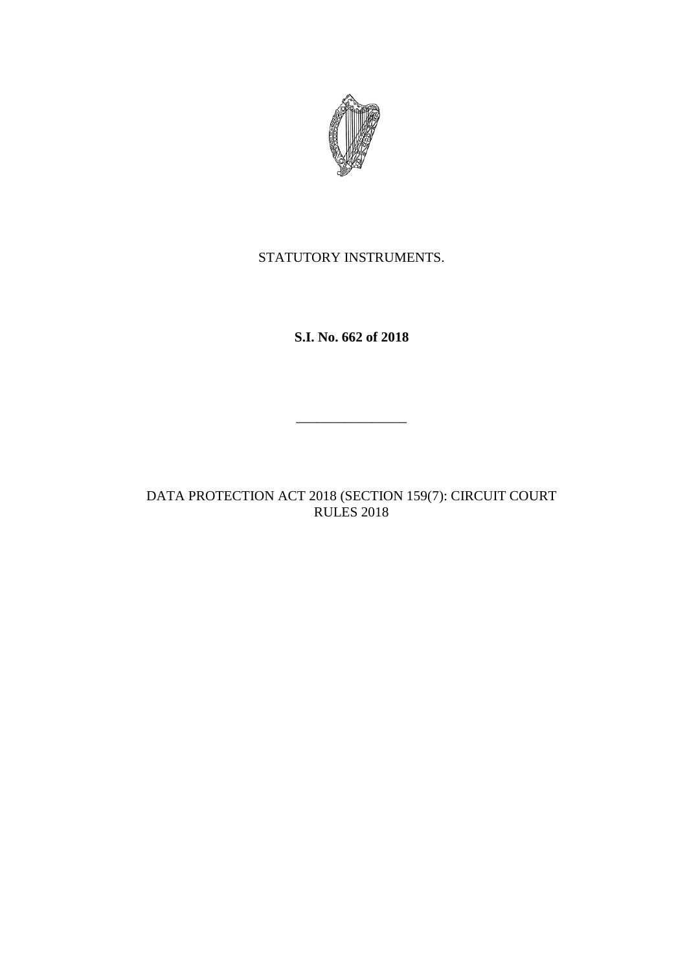

STATUTORY INSTRUMENTS.

**S.I. No. 662 of 2018**

 $\overline{\phantom{a}}$  , where  $\overline{\phantom{a}}$ 

DATA PROTECTION ACT 2018 (SECTION 159(7): CIRCUIT COURT RULES 2018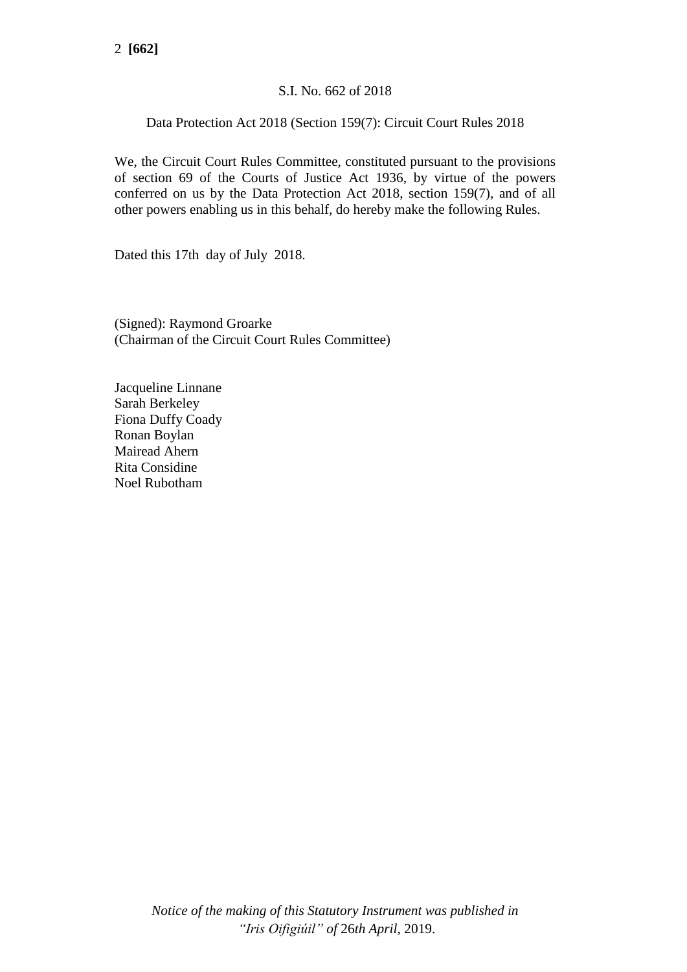# S.I. No. 662 of 2018

# Data Protection Act 2018 (Section 159(7): Circuit Court Rules 2018

We, the Circuit Court Rules Committee, constituted pursuant to the provisions of section 69 of the Courts of Justice Act 1936, by virtue of the powers conferred on us by the Data Protection Act 2018, section 159(7), and of all other powers enabling us in this behalf, do hereby make the following Rules.

Dated this 17th day of July 2018.

(Signed): Raymond Groarke (Chairman of the Circuit Court Rules Committee)

Jacqueline Linnane Sarah Berkeley Fiona Duffy Coady Ronan Boylan Mairead Ahern Rita Considine Noel Rubotham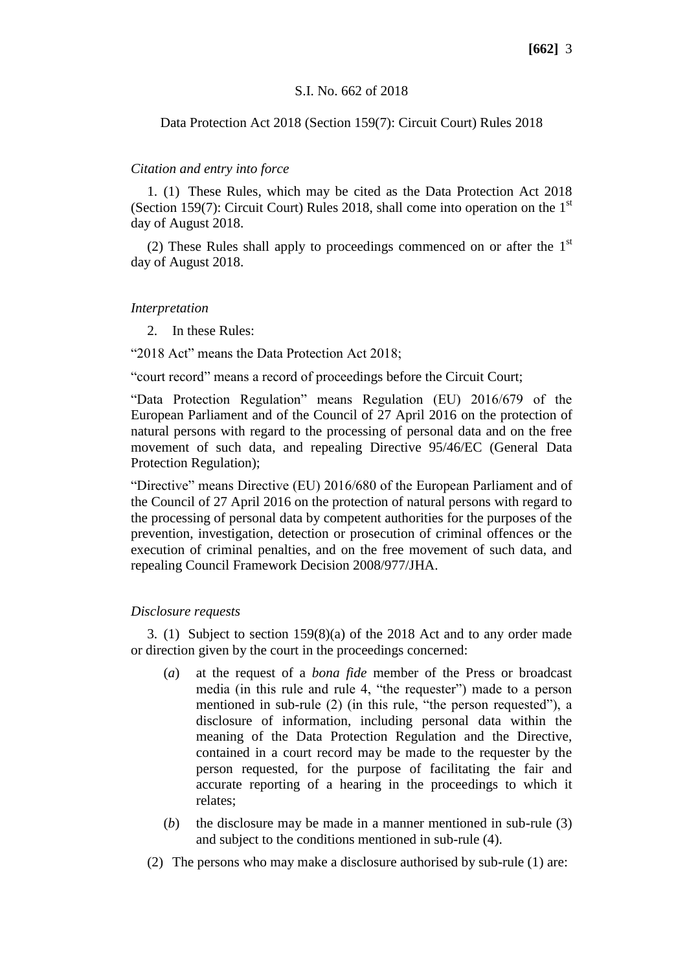### S.I. No. 662 of 2018

## Data Protection Act 2018 (Section 159(7): Circuit Court) Rules 2018

### *Citation and entry into force*

1. (1) These Rules, which may be cited as the Data Protection Act 2018 (Section 159(7): Circuit Court) Rules 2018, shall come into operation on the  $1<sup>st</sup>$ day of August 2018.

(2) These Rules shall apply to proceedings commenced on or after the  $1<sup>st</sup>$ day of August 2018.

### *Interpretation*

2. In these Rules:

"2018 Act" means the Data Protection Act 2018;

"court record" means a record of proceedings before the Circuit Court;

"Data Protection Regulation" means Regulation (EU) 2016/679 of the European Parliament and of the Council of 27 April 2016 on the protection of natural persons with regard to the processing of personal data and on the free movement of such data, and repealing Directive 95/46/EC (General Data Protection Regulation);

"Directive" means Directive (EU) 2016/680 of the European Parliament and of the Council of 27 April 2016 on the protection of natural persons with regard to the processing of personal data by competent authorities for the purposes of the prevention, investigation, detection or prosecution of criminal offences or the execution of criminal penalties, and on the free movement of such data, and repealing Council Framework Decision 2008/977/JHA.

## *Disclosure requests*

3. (1) Subject to section 159(8)(a) of the 2018 Act and to any order made or direction given by the court in the proceedings concerned:

- (*a*) at the request of a *bona fide* member of the Press or broadcast media (in this rule and rule 4, "the requester") made to a person mentioned in sub-rule (2) (in this rule, "the person requested"), a disclosure of information, including personal data within the meaning of the Data Protection Regulation and the Directive, contained in a court record may be made to the requester by the person requested, for the purpose of facilitating the fair and accurate reporting of a hearing in the proceedings to which it relates;
- (*b*) the disclosure may be made in a manner mentioned in sub-rule (3) and subject to the conditions mentioned in sub-rule (4).
- (2) The persons who may make a disclosure authorised by sub-rule (1) are: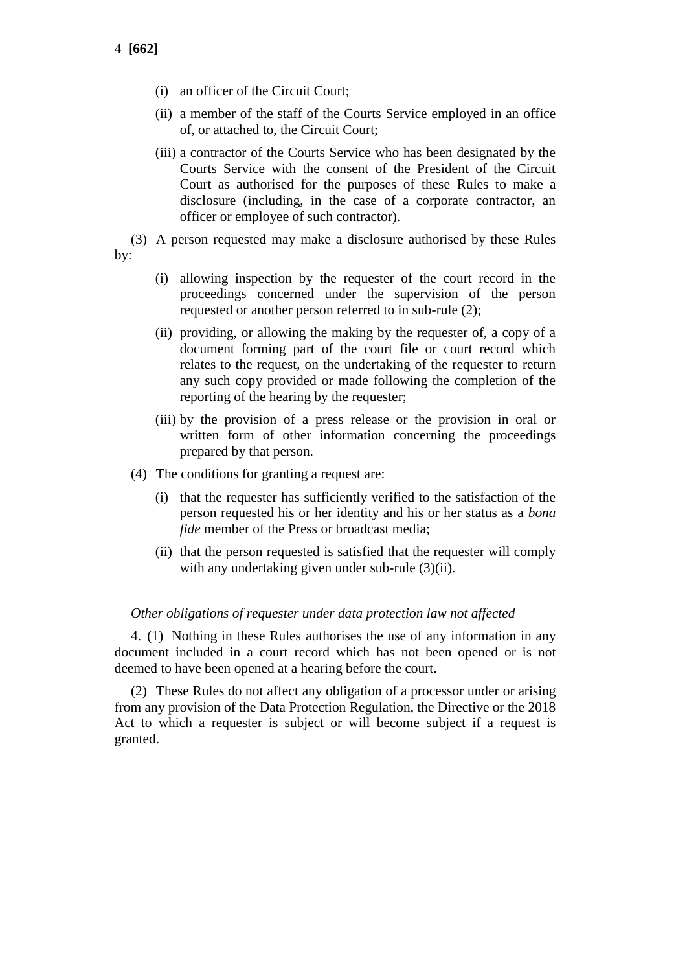- (i) an officer of the Circuit Court;
- (ii) a member of the staff of the Courts Service employed in an office of, or attached to, the Circuit Court;
- (iii) a contractor of the Courts Service who has been designated by the Courts Service with the consent of the President of the Circuit Court as authorised for the purposes of these Rules to make a disclosure (including, in the case of a corporate contractor, an officer or employee of such contractor).
- (3) A person requested may make a disclosure authorised by these Rules by:
	- (i) allowing inspection by the requester of the court record in the proceedings concerned under the supervision of the person requested or another person referred to in sub-rule (2);
	- (ii) providing, or allowing the making by the requester of, a copy of a document forming part of the court file or court record which relates to the request, on the undertaking of the requester to return any such copy provided or made following the completion of the reporting of the hearing by the requester;
	- (iii) by the provision of a press release or the provision in oral or written form of other information concerning the proceedings prepared by that person.
	- (4) The conditions for granting a request are:
		- (i) that the requester has sufficiently verified to the satisfaction of the person requested his or her identity and his or her status as a *bona fide* member of the Press or broadcast media;
		- (ii) that the person requested is satisfied that the requester will comply with any undertaking given under sub-rule (3)(ii).

## *Other obligations of requester under data protection law not affected*

4. (1) Nothing in these Rules authorises the use of any information in any document included in a court record which has not been opened or is not deemed to have been opened at a hearing before the court.

(2) These Rules do not affect any obligation of a processor under or arising from any provision of the Data Protection Regulation, the Directive or the 2018 Act to which a requester is subject or will become subject if a request is granted.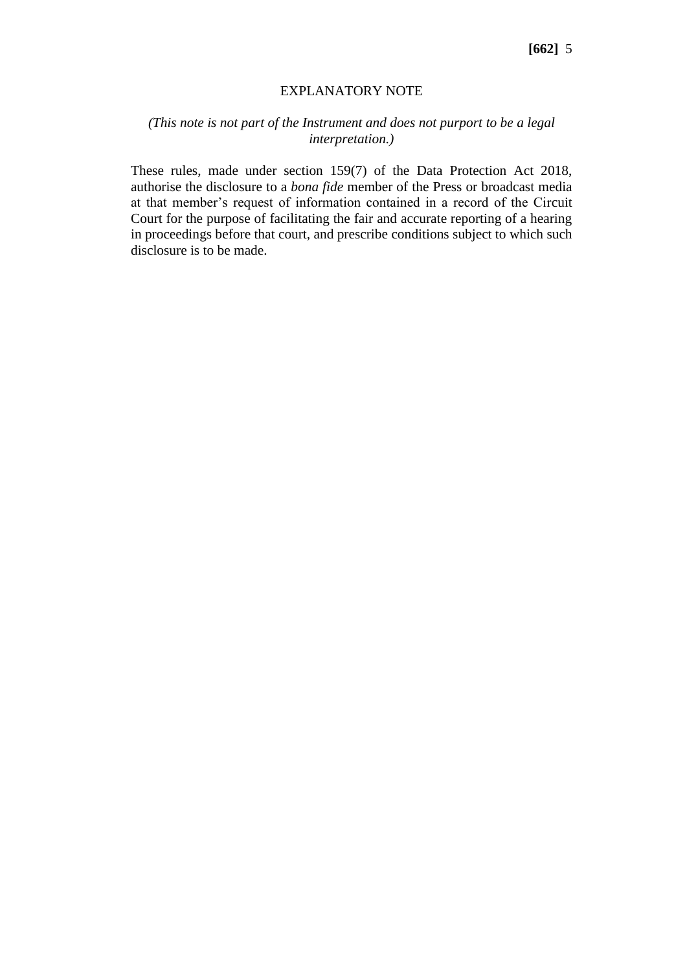#### EXPLANATORY NOTE

# *(This note is not part of the Instrument and does not purport to be a legal interpretation.)*

These rules, made under section 159(7) of the Data Protection Act 2018, authorise the disclosure to a *bona fide* member of the Press or broadcast media at that member's request of information contained in a record of the Circuit Court for the purpose of facilitating the fair and accurate reporting of a hearing in proceedings before that court, and prescribe conditions subject to which such disclosure is to be made.